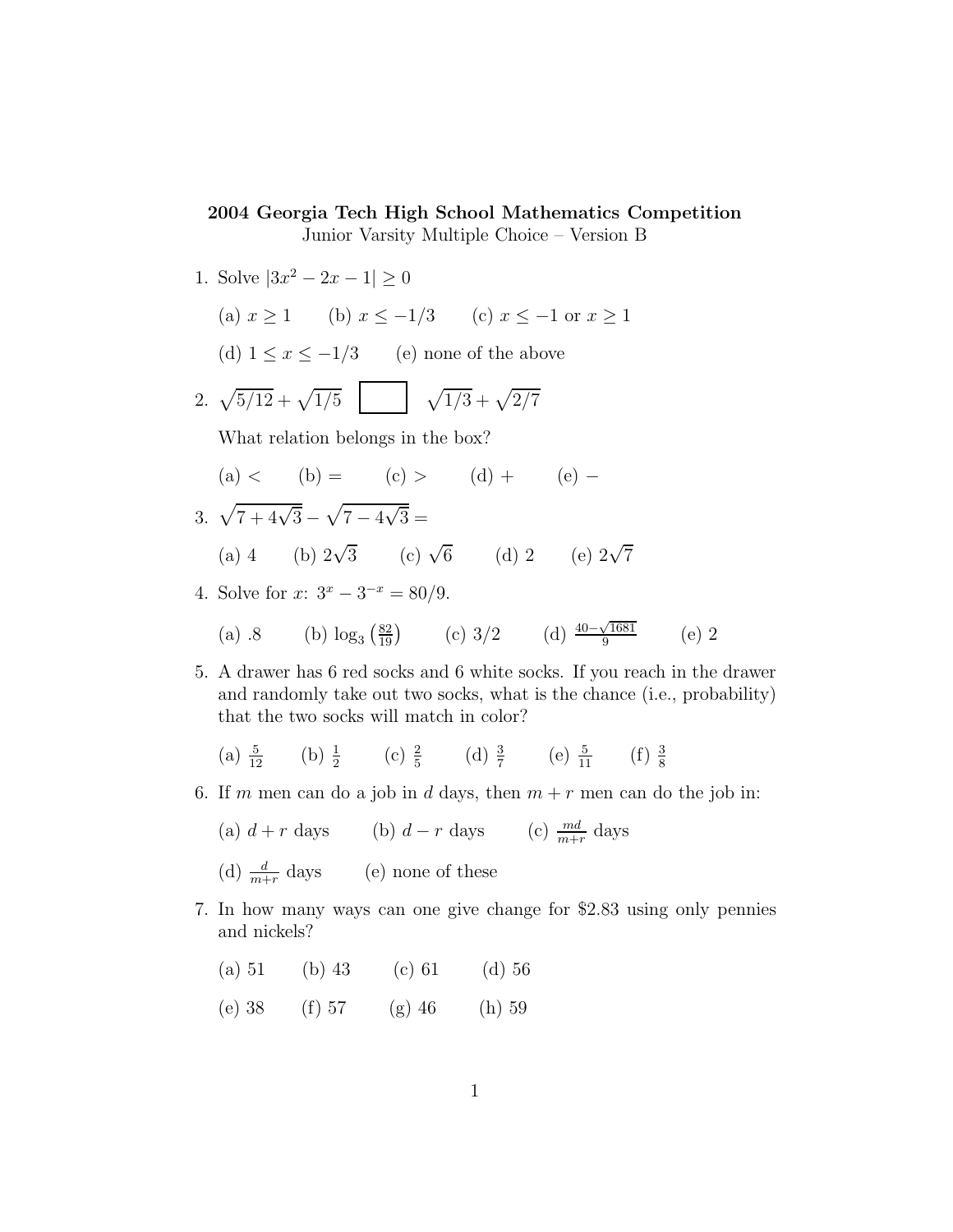## 2004 Georgia Tech High School Mathematics Competition

Junior Varsity Multiple Choice – Version B

1. Solve  $|3x^2 - 2x - 1| \ge 0$ (a)  $x \ge 1$  (b)  $x \le -1/3$  (c)  $x \le -1$  or  $x \ge 1$ (d)  $1 \le x \le -1/3$  (e) none of the above 2.  $\sqrt{5/12} + \sqrt{1/5}$  |  $\sqrt{1/3} + \sqrt{2/7}$ What relation belongs in the box? (a) < (b) = (c) > (d) + (e) – 3.  $\sqrt{7 + 4\sqrt{3}} - \sqrt{7 - 4\sqrt{3}} =$ (a) 4 (b)  $2\sqrt{3}$  (c)  $\sqrt{6}$  (d) 2 (e)  $2\sqrt{7}$ 4. Solve for  $x: 3^x - 3^{-x} = 80/9$ . (a) .8 (b)  $\log_3(\frac{82}{19})$  (c) 3/2 (d)  $\frac{40-\sqrt{1681}}{9}$ 9 (e) 2 5. A drawer has 6 red socks and 6 white socks. If you reach in the drawer and randomly take out two socks, what is the chance (i.e., probability) that the two socks will match in color? (a)  $\frac{5}{12}$  (b)  $\frac{1}{2}$  (c)  $\frac{2}{5}$  (d)  $\frac{3}{7}$  (e)  $\frac{5}{11}$  (f)  $\frac{3}{8}$ 8 6. If m men can do a job in d days, then  $m + r$  men can do the job in:

- (a)  $d + r$  days (b)  $d r$  days (c)  $\frac{md}{m+r}$  days
	- (d)  $\frac{d}{m+r}$  days (e) none of these
- 7. In how many ways can one give change for \$2.83 using only pennies and nickels?
	- (a)  $51$  (b)  $43$  (c)  $61$  (d)  $56$
	- (e) 38 (f) 57 (g) 46 (h) 59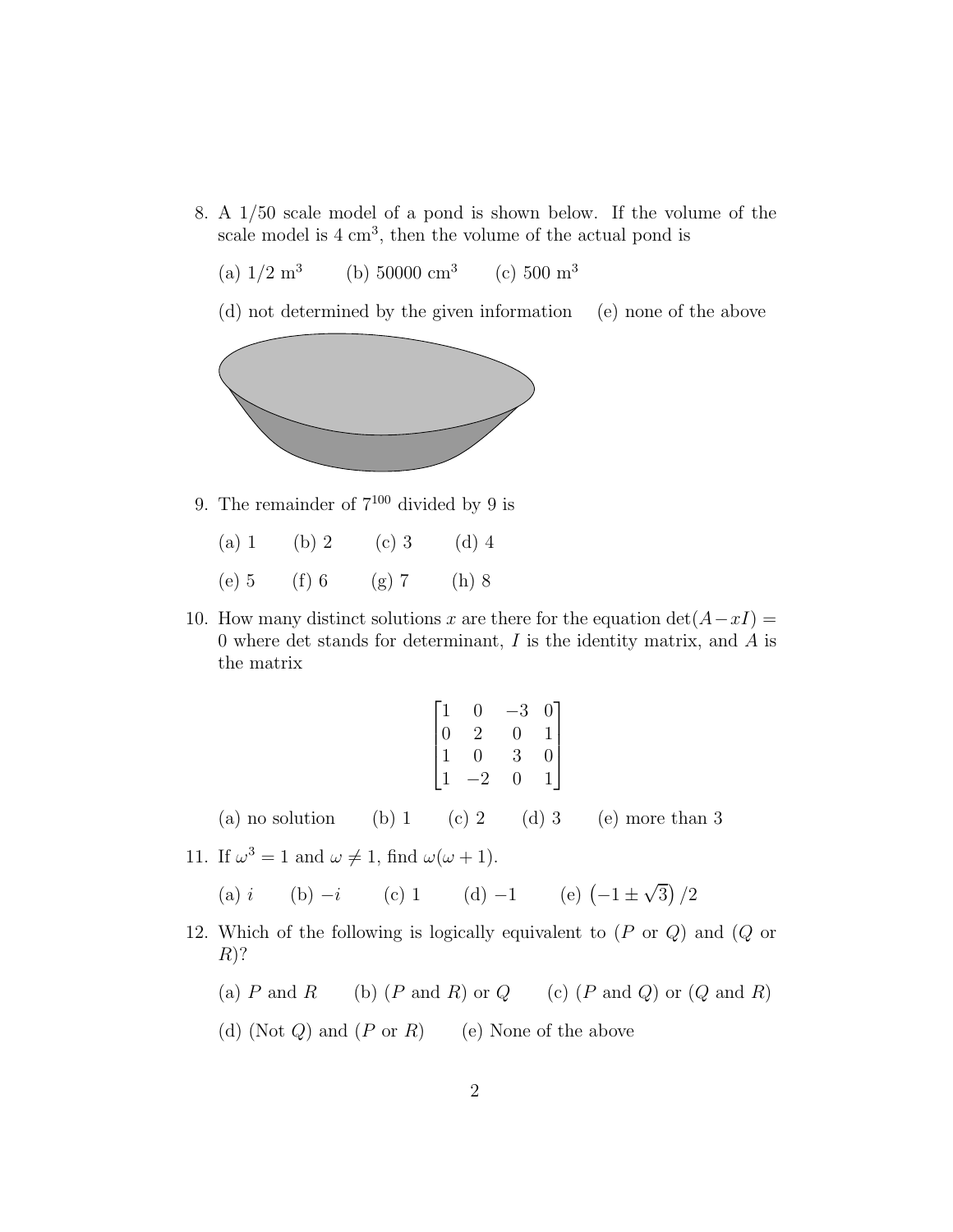- 8. A 1/50 scale model of a pond is shown below. If the volume of the scale model is  $4 \text{ cm}^3$ , then the volume of the actual pond is
	- (a)  $1/2 \text{ m}^3$ (b) 50000 cm<sup>3</sup> (c)  $500 \text{ m}^3$
	- (d) not determined by the given information (e) none of the above



9. The remainder of  $7^{100}$  divided by 9 is

| $(a)$ 1 | (b) 2   | $(c)$ 3 | $(d)$ 4 |
|---------|---------|---------|---------|
| $(e)$ 5 | $(f)$ 6 | $(g)$ 7 | $(h)$ 8 |

10. How many distinct solutions x are there for the equation  $\det(A-xI) =$ 0 where det stands for determinant,  $I$  is the identity matrix, and  $A$  is the matrix

|                                                                         | $\begin{bmatrix} 1 & 0 & -3 & 0 \\ 0 & 2 & 0 & 1 \\ 1 & 0 & 3 & 0 \\ 1 & -2 & 0 & 1 \end{bmatrix}$ |  |
|-------------------------------------------------------------------------|----------------------------------------------------------------------------------------------------|--|
| (a) no solution (b) 1 (c) 2 (d) 3 (e) more than 3                       |                                                                                                    |  |
| 11. If $\omega^3 = 1$ and $\omega \neq 1$ , find $\omega(\omega + 1)$ . |                                                                                                    |  |
| (a) i (b) $-i$ (c) 1 (d) $-1$ (e) $(-1 \pm \sqrt{3})/2$                 |                                                                                                    |  |

- 12. Which of the following is logically equivalent to  $(P \text{ or } Q)$  and  $(Q \text{ or } Q)$  $R)$ ?
	- (a) P and R (b)  $(P \text{ and } R)$  or  $Q$  (c)  $(P \text{ and } Q)$  or  $(Q \text{ and } R)$
	- (d) (Not  $Q$ ) and  $(P \text{ or } R)$  (e) None of the above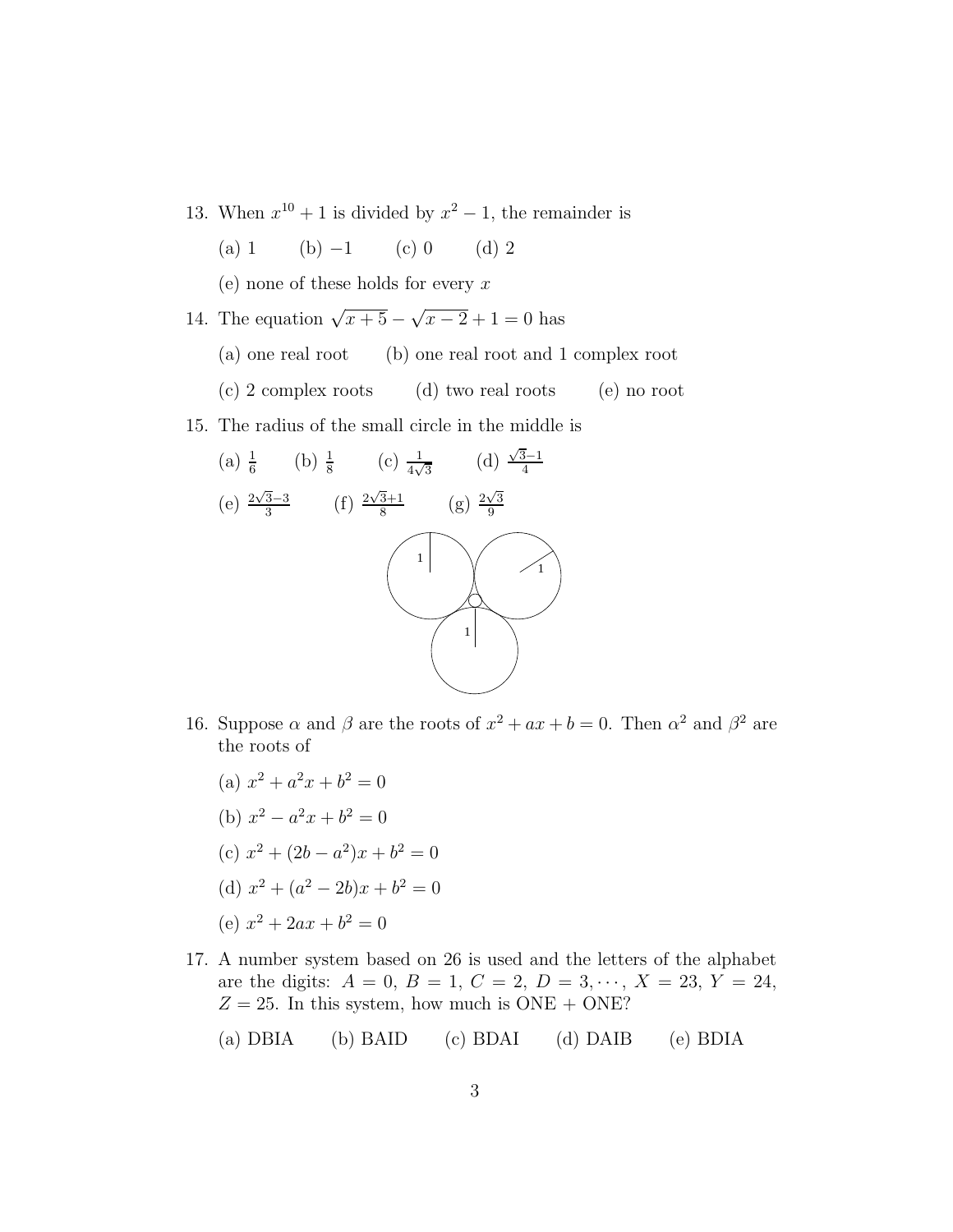- 13. When  $x^{10} + 1$  is divided by  $x^2 1$ , the remainder is
	- (a) 1 (b)  $-1$  (c) 0 (d) 2

(e) none of these holds for every  $x$ 

- 14. The equation  $\sqrt{x+5} \sqrt{x-2} + 1 = 0$  has
	- (a) one real root (b) one real root and 1 complex root
	- (c) 2 complex roots (d) two real roots (e) no root
- 15. The radius of the small circle in the middle is



- 16. Suppose  $\alpha$  and  $\beta$  are the roots of  $x^2 + ax + b = 0$ . Then  $\alpha^2$  and  $\beta^2$  are the roots of
	- (a)  $x^2 + a^2x + b^2 = 0$
	- (b)  $x^2 a^2x + b^2 = 0$
	- (c)  $x^2 + (2b a^2)x + b^2 = 0$
	- (d)  $x^2 + (a^2 2b)x + b^2 = 0$
	- (e)  $x^2 + 2ax + b^2 = 0$
- 17. A number system based on 26 is used and the letters of the alphabet are the digits:  $A = 0, B = 1, C = 2, D = 3, \dots, X = 23, Y = 24,$  $Z = 25$ . In this system, how much is ONE + ONE?

(a) DBIA (b) BAID (c) BDAI (d) DAIB (e) BDIA